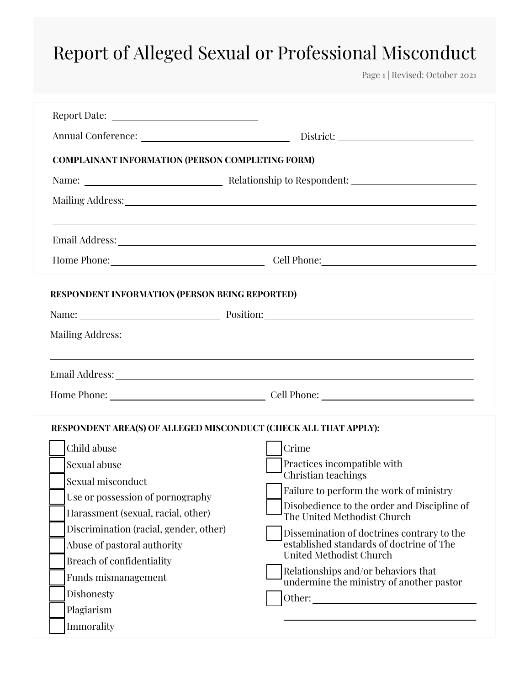Page 1 | Revised: October 2021

| <b>COMPLAINANT INFORMATION (PERSON COMPLETING FORM)</b>          |                                                                            |
|------------------------------------------------------------------|----------------------------------------------------------------------------|
|                                                                  |                                                                            |
|                                                                  |                                                                            |
|                                                                  |                                                                            |
|                                                                  | Home Phone: Cell Phone: Cell Phone:                                        |
| RESPONDENT INFORMATION (PERSON BEING REPORTED)                   |                                                                            |
|                                                                  | Name: <u>Name:</u> Position: Name: 2008                                    |
|                                                                  |                                                                            |
|                                                                  |                                                                            |
|                                                                  |                                                                            |
|                                                                  |                                                                            |
| RESPONDENT AREA(S) OF ALLEGED MISCONDUCT (CHECK ALL THAT APPLY): |                                                                            |
| Child abuse                                                      | Crime                                                                      |
| Sexual abuse                                                     | Practices incompatible with                                                |
| Sexual misconduct                                                | Christian teachings                                                        |
| Use or possession of pornography                                 | Failure to perform the work of ministry                                    |
| Harassment (sexual, racial, other)                               | Disobedience to the order and Discipline of<br>The United Methodist Church |
| Discrimination (racial, gender, other)                           | Dissemination of doctrines contrary to the                                 |
| Abuse of pastoral authority                                      | established standards of doctrine of The<br>United Methodist Church        |
| <b>Breach of confidentiality</b>                                 | Relationships and/or behaviors that                                        |
| Funds mismanagement                                              | undermine the ministry of another pastor                                   |
| Dishonesty                                                       | Other:<br><u> 1980 - John Stein, mars and de Brazilian (b. 1980)</u>       |
| Plagiarism                                                       |                                                                            |
| Immorality                                                       |                                                                            |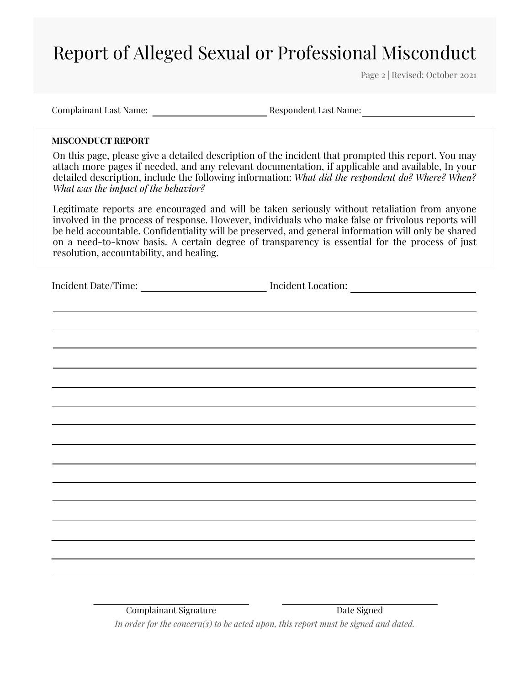Page 2 | Revised: October 2021

Complainant Last Name: Respondent Last Name:

### **MISCONDUCT REPORT**

On this page, please give a detailed description of the incident that prompted this report. You may attach more pages if needed, and any relevant documentation, if applicable and available, In your detailed description, include the following information: *What did the respondent do? Where? When? What was the impact of the behavior?*

Legitimate reports are encouraged and will be taken seriously without retaliation from anyone involved in the process of response. However, individuals who make false or frivolous reports will be held accountable. Confidentiality will be preserved, and general information will only be shared on a need-to-know basis. A certain degree of transparency is essential for the process of just resolution, accountability, and healing.

Incident Location:

Complainant Signature Date Signed *In order for the concern(s) to be acted upon, this report must be signed and dated.*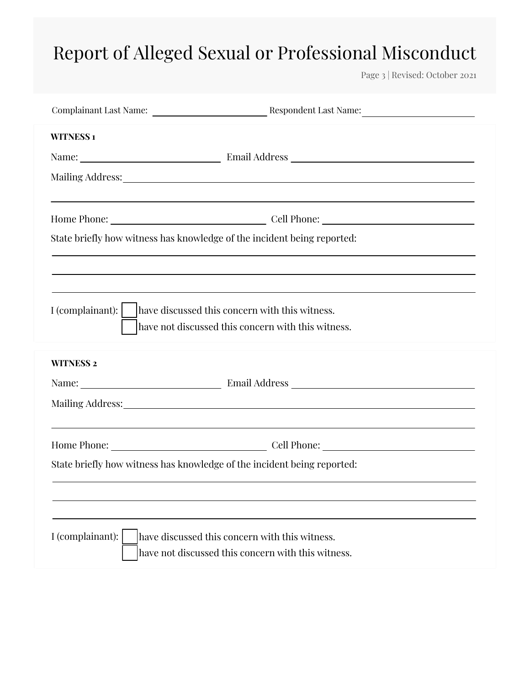Page 3 | Revised: October 2021

| <b>WITNESS1</b>                                                         |
|-------------------------------------------------------------------------|
|                                                                         |
|                                                                         |
|                                                                         |
|                                                                         |
| State briefly how witness has knowledge of the incident being reported: |
|                                                                         |
|                                                                         |
|                                                                         |
| have not discussed this concern with this witness.                      |
| <b>WITNESS 2</b>                                                        |
|                                                                         |
|                                                                         |
|                                                                         |
|                                                                         |
| State briefly how witness has knowledge of the incident being reported: |
|                                                                         |
|                                                                         |
| I (complainant):<br>have discussed this concern with this witness.      |
| have not discussed this concern with this witness.                      |